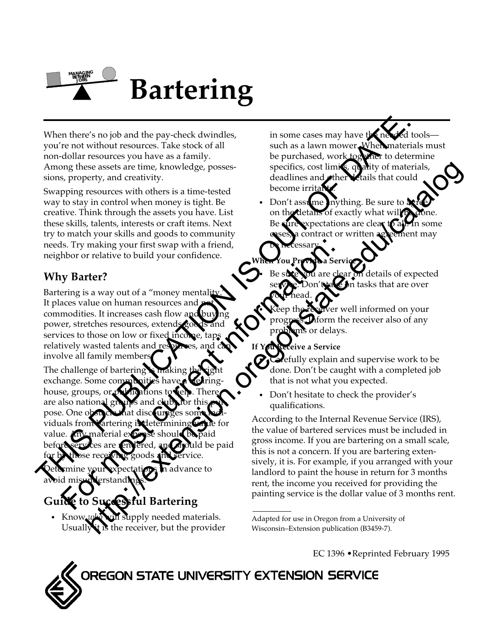

When there's no job and the pay-check dwindles, you're not without resources. Take stock of all non-dollar resources you have as a family. Among these assets are time, knowledge, possessions, property, and creativity.

Swapping resources with others is a time-tested way to stay in control when money is tight. Be creative. Think through the assets you have. List these skills, talents, interests or craft items. Next try to match your skills and goods to community needs. Try making your first swap with a friend, neighbor or relative to build your confidence.

## **Why Barter?**

Bartering is a way out of a "money mentality It places value on human resources and commodities. It increases cash flow and power, stretches resources, extend services to those on low or fixed incomrelatively wasted talents and resources, and involve all family member

The challenge of bartering exchange. Some com house, groups, or are also nationa pose. One o viduals from artering is determining value for value. Any material expense should be paid d be paid for by those receiving goods and service. When there's no job and the pay-check dwindles,<br>you're not without resources you have a semaily and as a lawn mover which are not<br>experimented to pay the pay-check of all such as a lawn mover which are due to the<br>anity co For making and current information:<br>
The street to build your confidence.<br>
The street for most current information:<br>
The street for most current information:<br>
The street for the street on the current of a "money mentality"

dvance to avoid misunderstandings.

# **G** to Successful Bartering

• Know *who* will supply needed materials. Usually it is the receiver, but the provider in some cases may have the needed tools such as a lawn mower. When materials must be purchased, work together to determine specifics, cost limits, quality of materials, deadlines and other Letails that could become irritar

Don't assume inything. Be sure to of exactly what will Be sure expectations are clear ent may

## **When You Provide a Service**

be necessary.

details of expected tasks that are over your head.

well informed on your orm the receiver also of any or delays.

### **Ve a Service**

fully explain and supervise work to be done. Don't be caught with a completed job that is not what you expected.

• Don't hesitate to check the provider's qualifications.

According to the Internal Revenue Service (IRS), the value of bartered services must be included in gross income. If you are bartering on a small scale, this is not a concern. If you are bartering extensively, it is. For example, if you arranged with your landlord to paint the house in return for 3 months rent, the income you received for providing the painting service is the dollar value of 3 months rent. see assess are time knowledge, posses-<br>easely are time. Now of the same interesting of the comparison of the properties with other monography is a time-testor or interests or calities. Note that the comparison of the same

EC 1396 •Reprinted February 1995

OREGON STATE UNIVERSITY EXTENSION SERVICE

Adapted for use in Oregon from a University of Wisconsin–Extension publication (B3459-7).